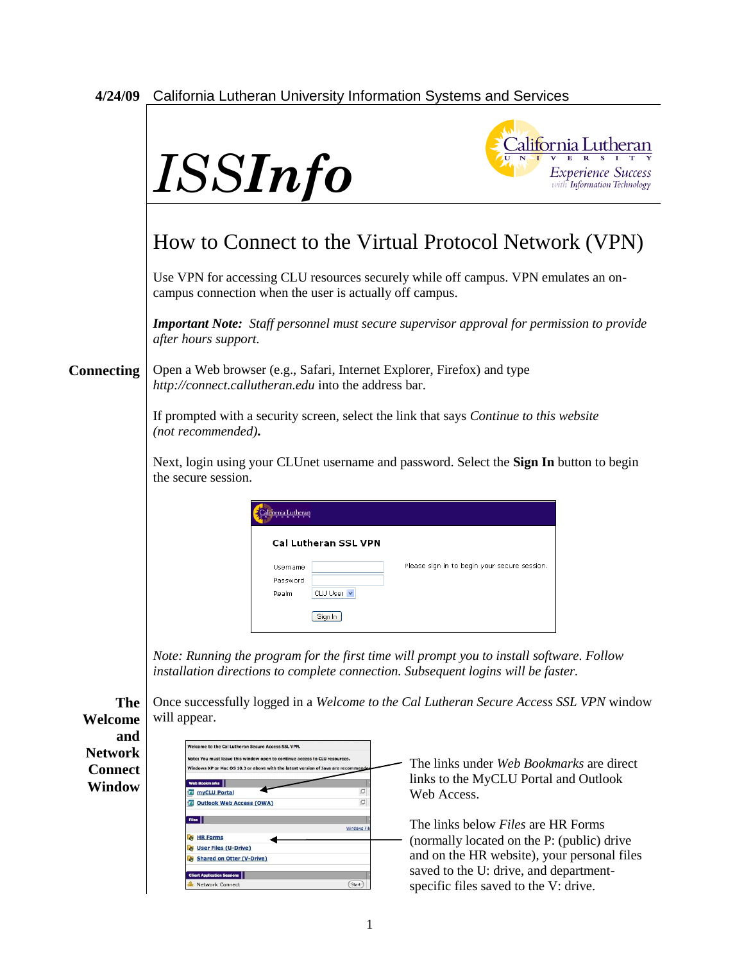## **4/24/09** California Lutheran University Information Systems and Services